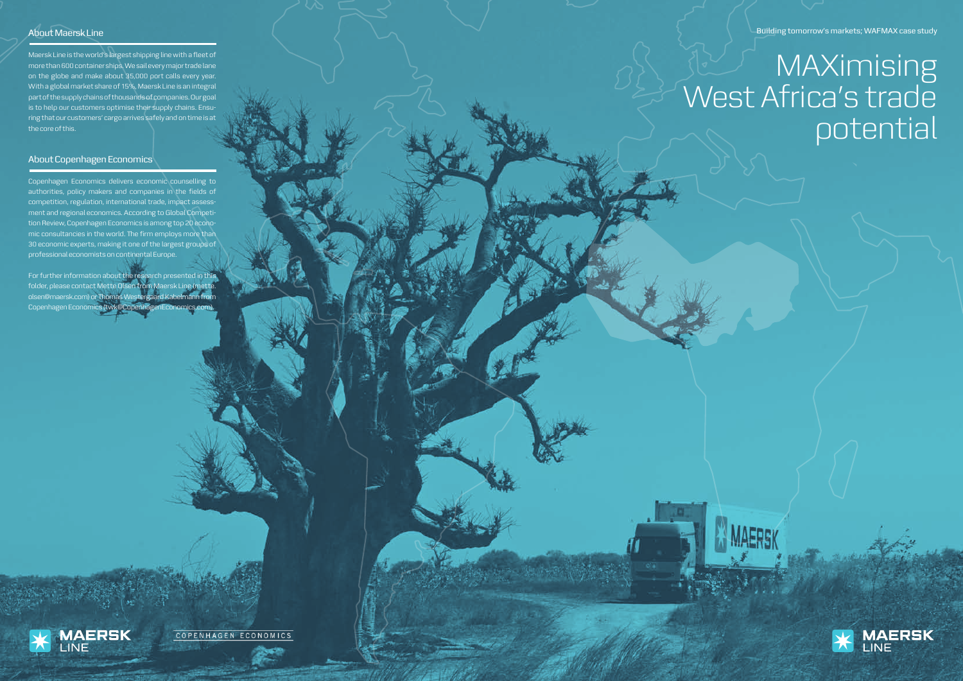Building tomorrow's markets; WAFMAX case study

# **MAXimising** West Africa's trade potential





### About Maersk Line

Maersk Line is the world's largest shipping line with a fleet of more than 600 container ships. We sail every major trade lane on the globe and make about 35,000 port calls every year. With a global market share of 15%, Maersk Line is an integral part of the supply chains of thousands of companies. Our goal is to help our customers optimise their supply chains. Ensu ring that our customers' cargo arrives safely and on time is at the core of this.

#### About Copenhagen Economics

Copenhagen Economics delivers economic counselling to authorities, policy makers and companies in the fields of competition, regulation, international trade, impact assess ment and regional economics. According to Global Competi tion Review, Copenhagen Economics is among top 20 econo mic consultancies in the world. The firm employs more than 30 economic experts, making it one of the largest groups of professional economists on continental Europe.

For further information about the research presented in this folder, please contact Mette Olsen from Maersk Line (mette. olsen@maersk.com) or Thomas Westergaard Kabelmann from Copenhagen Economics (twk@CopenhagenEconomics.com).



COPENHAGEN ECONOMICS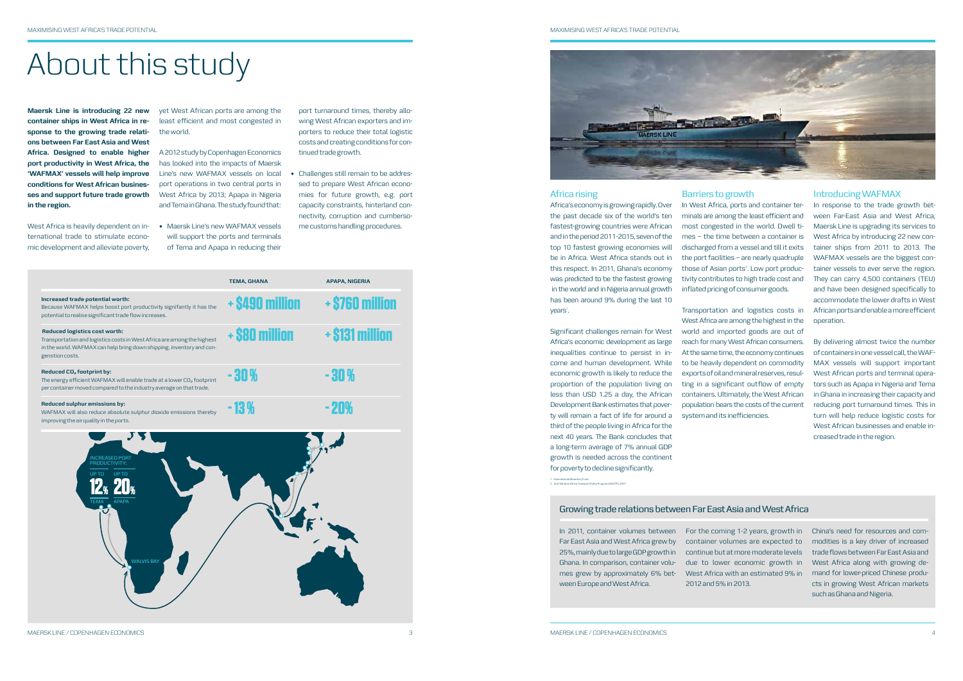# About this study

**Maersk Line is introducing 22 new container ships in West Africa in response to the growing trade relations between Far East Asia and West Africa. Designed to enable higher port productivity in West Africa, the 'WAFMAX' vessels will help improve conditions for West African businesses and support future trade growth in the region.**

West Africa is heavily dependent on international trade to stimulate economic development and alleviate poverty,

• Maersk Line's new WAFMAX vessels will support the ports and terminals of Tema and Apapa in reducing their

yet West African ports are among the least efficient and most congested in the world.

> • Challenges still remain to be addressed to prepare West African economies for future growth, e.g. port capacity constraints, hinterland connectivity, corruption and cumbersome customs handling procedures.

A 2012 study by Copenhagen Economics has looked into the impacts of Maersk Line's new WAFMAX vessels on local port operations in two central ports in West Africa by 2013; Apapa in Nigeria and Tema in Ghana. The study found that:

port turnaround times, thereby allowing West African exporters and importers to reduce their total logistic costs and creating conditions for continued trade growth.

> Africa's economy is growing rapidly. Over the past decade six of the world's ten fastest-growing countries were African and in the period 2011-2015, seven of the top 10 fastest growing economies will be in Africa. West Africa stands out in this respect. In 2011, Ghana's economy was predicted to be the fastest growing in the world and in Nigeria annual growth has been around 9% during the last 10 years<sup>1</sup>.

|                                                                                                                                                                                                             | <b>TEMA, GHANA</b> | <b>APAPA, NIGERIA</b> |
|-------------------------------------------------------------------------------------------------------------------------------------------------------------------------------------------------------------|--------------------|-----------------------|
| Increased trade potential worth:<br>Because WAFMAX helps boost port productivity signifantly it has the<br>potential to realise significant trade flow increases.                                           | + \$490 million    | + \$760 million       |
| <b>Reduced logistics cost worth:</b><br>Transportation and logistics costs in West Africa are among the highest<br>in the world. WAFMAX can help bring down shipping, inventory and con-<br>genstion costs. | + \$80 million     | + \$131 million       |
| Reduced CO <sub>2</sub> footprint by:<br>The energy efficient WAFMAX will enable trade at a lower CO <sub>2</sub> footprint<br>per container moved compared to the industry average on that trade.          | -30%               | - 30 %                |
| Reduced sulphur emissions by:<br>WAFMAX will also reduce absolute sulphur dioxide emissions thereby<br>improving the air quality in the ports.                                                              | $-13%$             | - 20%                 |
| INCREASED PORT<br>PRODUCTIVITY:<br><b>UPTO</b><br>UP TO<br><b>APAPA</b><br><b>TEMA</b>                                                                                                                      |                    |                       |



WALVIS BAY

#### MAXIMISING WEST AFRICA'S TRADE POTENTIAL

#### Africa rising

Significant challenges remain for West Africa's economic development as large inequalities continue to persist in income and human development. While economic growth is likely to reduce the proportion of the population living on less than USD 1.25 a day, the African Development Bank estimates that poverty will remain a fact of life for around a third of the people living in Africa for the next 40 years. The Bank concludes that a long-term average of 7% annual GDP growth is needed across the continent for poverty to decline significantly.

#### Barriers to growth

In West Africa, ports and container terminals are among the least efficient and most congested in the world. Dwell times – the time between a container is discharged from a vessel and till it exits the port facilities – are nearly quadruple those of Asian ports<sup>2</sup>. Low port productivity contributes to high trade cost and inflated pricing of consumer goods.

Transportation and logistics costs in West Africa are among the highest in the world and imported goods are out of reach for many West African consumers. At the same time, the economy continues to be heavily dependent on commodity exports of oil and mineral reserves, resulting in a significant outflow of empty containers. Ultimately, the West African population bears the costs of the current system and its inefficiencies.

#### Introducing WAFMAX

In response to the trade growth between Far-East Asia and West Africa, Maersk Line is upgrading its services to West Africa by introducing 22 new container ships from 2011 to 2013. The WAFMAX vessels are the biggest container vessels to ever serve the region. They can carry 4,500 containers (TEU) and have been designed specifically to accommodate the lower drafts in West African ports and enable a more efficient operation.

By delivering almost twice the number of containers in one vessel call, the WAF-MAX vessels will support important West African ports and terminal operators such as Apapa in Nigeria and Tema in Ghana in increasing their capacity and reducing port turnaround times. This in turn will help reduce logistic costs for West African businesses and enable increased trade in the region.

Far East Asia and West Africa grew by 25%, mainly due to large GDP growth in Ghana. In comparison, container voluween Europe and West Africa.

continue but at more moderate levels due to lower economic growth in

In 2011, container volumes between For the coming 1-2 years, growth in China's need for resources and commes grew by approximately 6% bet-West Africa with an estimated 9% in mand for lower-priced Chinese producontainer volumes are expected to modities is a key driver of increased trade flows between Far East Asia and West Africa along with growing dects in growing West African markets such as Ghana and Nigeria.

2012 and 5% in 2013.

#### Growing trade relations between Far East Asia and West Africa

1 International Monetary Fund 2 Sub-Saharan Africa Transport Policy Program (SSATP), 2007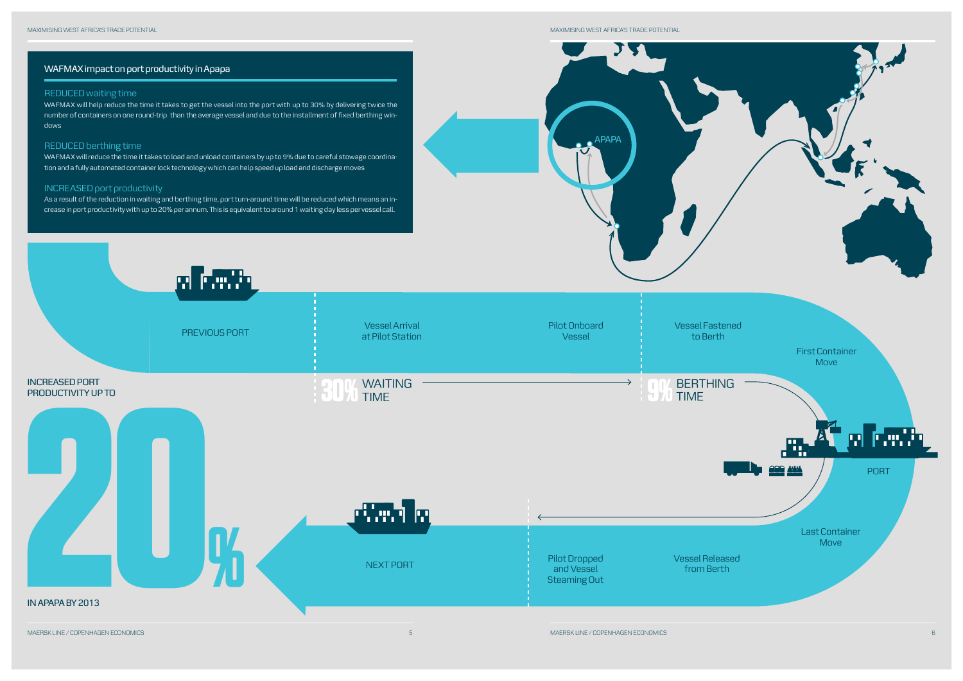

MAXIMISING WEST AFRICA'S TRADE POTENTIAL

TT

**APAPA** 

### WAFMAX impact on port productivity in Apapa

#### REDUCED waiting time

WAFMAX will help reduce the time it takes to get the vessel into the port with up to 30% by delivering twice the number of containers on one round-trip than the average vessel and due to the installment of fixed berthing windows



#### REDUCED berthing time

WAFMAX will reduce the time it takes to load and unload containers by up to 9% due to careful stowage coordination and a fully automated container lock technology which can help speed up load and discharge moves

#### INCREASED port productivity

As a result of the reduction in waiting and berthing time, port turn-around time will be reduced which means an in-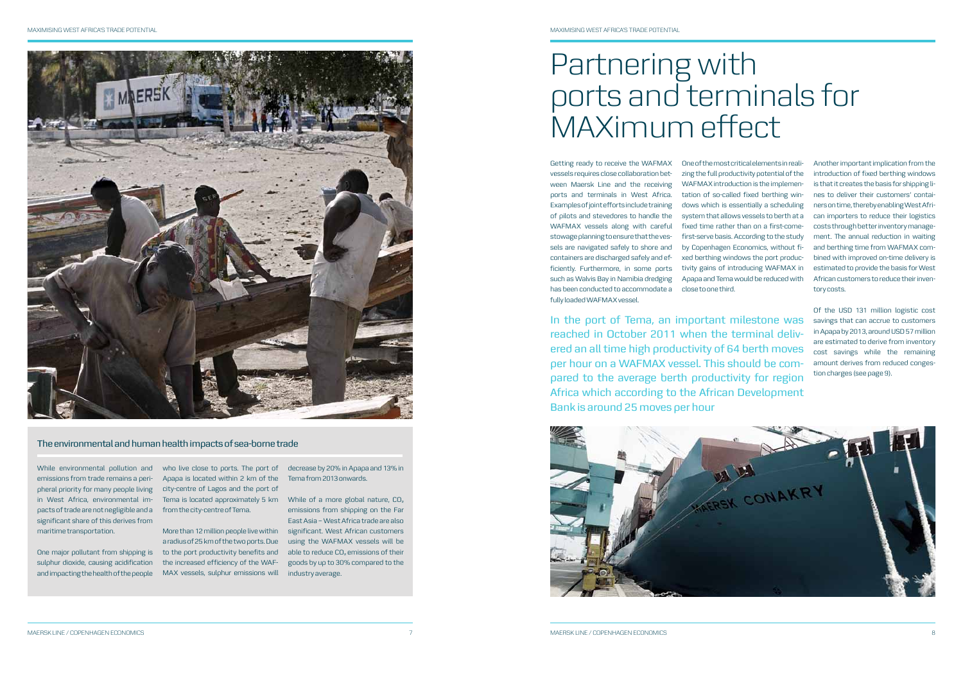# Partnering with ports and terminals for MAXimum effect

Getting ready to receive the WAFMAX vessels requires close collaboration between Maersk Line and the receiving ports and terminals in West Africa. Examples of joint efforts include training of pilots and stevedores to handle the WAFMAX vessels along with careful stowage planning to ensure that the vessels are navigated safely to shore and containers are discharged safely and efficiently. Furthermore, in some ports such as Walvis Bay in Namibia dredging has been conducted to accommodate a fully loaded WAFMAX vessel.

One of the most critical elements in realizing the full productivity potential of the WAFMAX introduction is the implementation of so-called fixed berthing windows which is essentially a scheduling system that allows vessels to berth at a fixed time rather than on a first-comefirst-serve basis. According to the study by Copenhagen Economics, without fixed berthing windows the port productivity gains of introducing WAFMAX in Apapa and Tema would be reduced with

close to one third.

Another important implication from the introduction of fixed berthing windows is that it creates the basis for shipping lines to deliver their customers' containers on time, thereby enabling West African importers to reduce their logistics costs through better inventory management. The annual reduction in waiting and berthing time from WAFMAX combined with improved on-time delivery is estimated to provide the basis for West African customers to reduce their inventory costs.

sulphur dioxide, causing acidification and impacting the health of the people

who live close to ports. The port of Apapa is located within 2 km of the city-centre of Lagos and the port of Tema is located approximately 5 km While of a more global nature, CO2 from the city-centre of Tema.

Of the USD 131 million logistic cost savings that can accrue to customers in Apapa by 2013, around USD 57 million are estimated to derive from inventory cost savings while the remaining amount derives from reduced congestion charges (see page 9).

In the port of Tema, an important milestone was reached in October 2011 when the terminal delivered an all time high productivity of 64 berth moves per hour on a WAFMAX vessel. This should be compared to the average berth productivity for region Africa which according to the African Development Bank is around 25 moves per hour





While environmental pollution and emissions from trade remains a peripheral priority for many people living in West Africa, environmental impacts of trade are not negligible and a significant share of this derives from maritime transportation.

One major pollutant from shipping is to the port productivity benefits and More than 12 million people live within the increased efficiency of the WAF-MAX vessels, sulphur emissions will industry average.

decrease by 20% in Apapa and 13% in Tema from 2013 onwards.

a radius of 25 km of the two ports. Due using the WAFMAX vessels will be emissions from shipping on the Far East Asia – West Africa trade are also significant. West African customers able to reduce CO<sub>2</sub> emissions of their goods by up to 30% compared to the

#### The environmental and human health impacts of sea-borne trade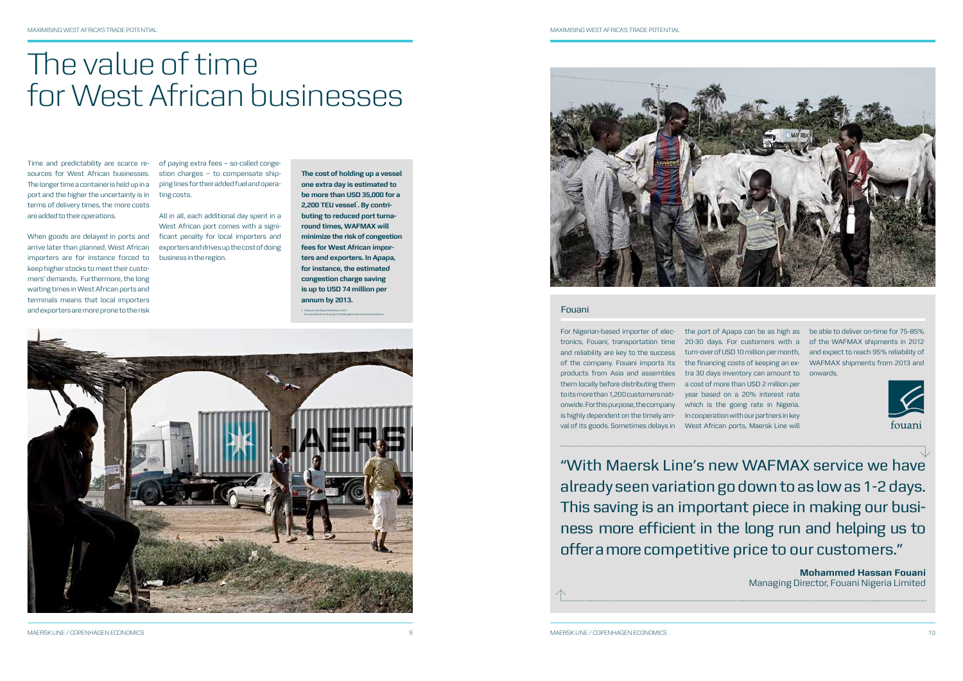#### Fouani

Time and predictability are scarce resources for West African businesses. The longer time a container is held up in a port and the higher the uncertainty is in terms of delivery times, the more costs are added to their operations.

arrive later than planned, West African importers are for instance forced to keep higher stocks to meet their customers' demands. Furthermore, the long waiting times in West African ports and terminals means that local importers and exporters are more prone to the risk

When goods are delayed in ports and ficant penalty for local importers and All in all, each additional day spent in a West African port comes with a signiexporters and drives up the cost of doing business in the region.

> For Nigerian-based importer of elec- the port of Apapa can be as high as be able to deliver on-time for 75-85% tronics, Fouani, transportation time 20-30 days. For customers with a of the WAFMAX shipments in 2012 and reliability are key to the success turn-over of USD 10 million per month, and expect to reach 95% reliability of of the company. Fouani imports its the financing costs of keeping an ex-WAFMAX shipments from 2013 and products from Asia and assembles tra 30 days inventory can amount to onwards. them locally before distributing them a cost of more than USD 2 million per to its more than 1,200 customers nati-year based on a 20% interest rate onwide. For this purpose, the company which is the going rate in Nigeria. is highly dependent on the timely arri-In cooperation with our partners in key val of its goods. Sometimes delays in West African ports, Maersk Line will

of paying extra fees – so-called congestion charges – to compensate shipping lines for their added fuel and operating costs.

**The cost of holding up a vessel one extra day is estimated to be more than USD 35,000 for a**  2,200 TEU vessel<sup>3</sup>. By contri**buting to reduced port turnaround times, WAFMAX will minimize the risk of congestion fees for West African importers and exporters. In Apapa, for instance, the estimated congestion charge saving is up to USD 74 million per annum by 2013.** Pálsson, Harding & Raballand, 2007:

## The value of time for West African businesses

"With Maersk Line's new WAFMAX service we have already seen variation go down to as low as 1-2 days. This saving is an important piece in making our business more efficient in the long run and helping us to offer a more competitive price to our customers."

MAERSK LINE / COPENHAGEN ECONOMICS



**Mohammed Hassan Fouani** Managing Director, Fouani Nigeria Limited

3